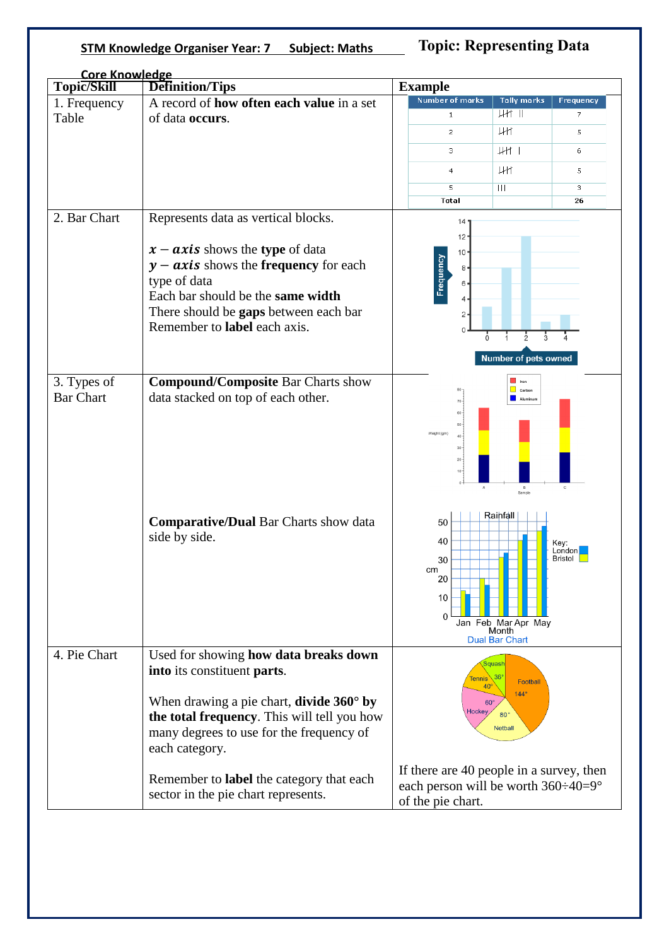## **STM Knowledge Organiser Year: 7 Subject: Maths**

**Topic: Representing Data** 

| <b>Core Knowledge</b> |                                                                     |                                                                                                                         |                              |                     |        |
|-----------------------|---------------------------------------------------------------------|-------------------------------------------------------------------------------------------------------------------------|------------------------------|---------------------|--------|
| Topic/Skill           | <b>Definition/Tips</b>                                              | <b>Example</b>                                                                                                          |                              |                     |        |
| 1. Frequency<br>Table | A record of how often each value in a set<br>of data occurs.        | <b>Number of marks</b>                                                                                                  | <b>Tally marks</b><br>$H$ II | Frequency           |        |
|                       |                                                                     | $\mathbf{1}$                                                                                                            |                              | 7                   |        |
|                       |                                                                     | $\overline{c}$                                                                                                          | Жł                           | 5                   |        |
|                       |                                                                     | з                                                                                                                       | $\downarrow$ H $\uparrow$    | 6                   |        |
|                       |                                                                     | $\overline{4}$                                                                                                          | <b>JHT</b>                   | 5                   |        |
|                       |                                                                     | 5                                                                                                                       | $\mathbf{H}$                 | 3                   |        |
|                       |                                                                     | <b>Total</b>                                                                                                            |                              | 26                  |        |
| 2. Bar Chart          |                                                                     |                                                                                                                         |                              |                     |        |
|                       | Represents data as vertical blocks.                                 | 14'                                                                                                                     |                              |                     |        |
|                       |                                                                     | $12 -$                                                                                                                  |                              |                     |        |
|                       | $x - axis$ shows the type of data                                   | $10 -$<br>Frequency<br>8 <sub>0</sub><br>6                                                                              |                              |                     |        |
|                       | $y - axis$ shows the frequency for each                             |                                                                                                                         |                              |                     |        |
|                       | type of data                                                        |                                                                                                                         |                              |                     |        |
|                       | Each bar should be the same width                                   | $\overline{4}$                                                                                                          |                              |                     |        |
|                       | There should be gaps between each bar                               | $\mathbf{2}$                                                                                                            |                              |                     |        |
|                       | Remember to label each axis.                                        |                                                                                                                         |                              |                     |        |
|                       |                                                                     |                                                                                                                         |                              |                     |        |
|                       | 3. Types of                                                         | <b>Compound/Composite Bar Charts show</b>                                                                               |                              | $\blacksquare$ Iron |        |
| <b>Bar Chart</b>      | data stacked on top of each other.                                  | $\Box$ Carbon<br>Aluminum                                                                                               |                              |                     |        |
|                       |                                                                     |                                                                                                                         |                              |                     |        |
|                       |                                                                     | 50<br>Weight (gm)<br>40 <sub>1</sub>                                                                                    |                              |                     |        |
|                       |                                                                     |                                                                                                                         |                              |                     | $30 -$ |
|                       |                                                                     |                                                                                                                         |                              | $20 -$<br>$10 -$    |        |
|                       |                                                                     | $\,$ B<br>$\mathbf{C}$<br>A                                                                                             |                              |                     |        |
|                       |                                                                     |                                                                                                                         | Sample                       |                     |        |
|                       |                                                                     |                                                                                                                         | Rainfall                     |                     |        |
|                       | <b>Comparative/Dual Bar Charts show data</b><br>side by side.       | 50                                                                                                                      |                              |                     |        |
|                       |                                                                     | 40                                                                                                                      |                              | Key:<br>London      |        |
|                       |                                                                     | 30                                                                                                                      |                              | Bristol             |        |
|                       |                                                                     | cm                                                                                                                      |                              |                     |        |
|                       |                                                                     | 20                                                                                                                      |                              |                     |        |
|                       |                                                                     | 10                                                                                                                      |                              |                     |        |
|                       |                                                                     | $\Omega$                                                                                                                | Jan Feb Mar Apr May          |                     |        |
|                       |                                                                     |                                                                                                                         | Month                        |                     |        |
|                       |                                                                     |                                                                                                                         | <b>Dual Bar Chart</b>        |                     |        |
| 4. Pie Chart          | Used for showing how data breaks down                               |                                                                                                                         | quash                        |                     |        |
|                       | into its constituent parts.                                         | Tennis $36^\circ$<br>Football<br>40 <sup>°</sup><br>$144^\circ$<br>$60^\circ$<br>Hockey<br>$80^\circ$<br><b>Netball</b> |                              |                     |        |
|                       |                                                                     |                                                                                                                         |                              |                     |        |
|                       | When drawing a pie chart, <b>divide 360<math>^{\circ}</math> by</b> |                                                                                                                         |                              |                     |        |
|                       | the total frequency. This will tell you how                         |                                                                                                                         |                              |                     |        |
|                       | many degrees to use for the frequency of                            |                                                                                                                         |                              |                     |        |
|                       | each category.                                                      |                                                                                                                         |                              |                     |        |
|                       |                                                                     |                                                                                                                         |                              |                     |        |
|                       | Remember to label the category that each                            | If there are 40 people in a survey, then<br>each person will be worth 360÷40=9°                                         |                              |                     |        |
|                       | sector in the pie chart represents.                                 | of the pie chart.                                                                                                       |                              |                     |        |
|                       |                                                                     |                                                                                                                         |                              |                     |        |